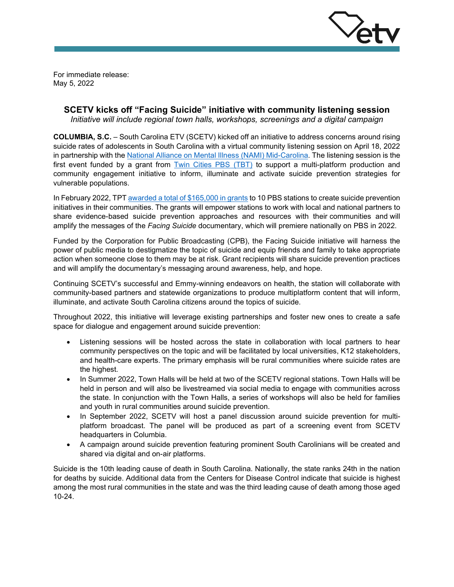

For immediate release: May 5, 2022

# **SCETV kicks off "Facing Suicide" initiative with community listening session**

*Initiative will include regional town halls, workshops, screenings and a digital campaign*

**COLUMBIA, S.C.** – South Carolina ETV (SCETV) kicked off an initiative to address concerns around rising suicide rates of adolescents in South Carolina with a virtual community listening session on April 18, 2022 in partnership with the [National Alliance on Mental Illness \(NAMI\)](https://namimid-carolina.org/) Mid-Carolina. The listening session is the first event funded by a grant from [Twin Cities PBS \(TBT\)](https://www.tpt.org/) to support a multi-platform production and community engagement initiative to inform, illuminate and activate suicide prevention strategies for vulnerable populations.

In February 2022, TPT [awarded a total of \\$165,000 in grants](https://www.cpb.org/pressroom/Twin-Cities-PBS-Announces-10-Facing-Suicide-Grants-Help-Prevent-Suicide-Communities-Across) to 10 PBS stations to create suicide prevention initiatives in their communities. The grants will empower stations to work with local and national partners to share evidence-based suicide prevention approaches and resources with their communities and will amplify the messages of the *Facing Suicide* documentary, which will premiere nationally on PBS in 2022.

Funded by the Corporation for Public Broadcasting (CPB), the Facing Suicide initiative will harness the power of public media to destigmatize the topic of suicide and equip friends and family to take appropriate action when someone close to them may be at risk. Grant recipients will share suicide prevention practices and will amplify the documentary's messaging around awareness, help, and hope.

Continuing SCETV's successful and Emmy-winning endeavors on health, the station will collaborate with community-based partners and statewide organizations to produce multiplatform content that will inform, illuminate, and activate South Carolina citizens around the topics of suicide.

Throughout 2022, this initiative will leverage existing partnerships and foster new ones to create a safe space for dialogue and engagement around suicide prevention:

- Listening sessions will be hosted across the state in collaboration with local partners to hear community perspectives on the topic and will be facilitated by local universities, K12 stakeholders, and health-care experts. The primary emphasis will be rural communities where suicide rates are the highest.
- In Summer 2022, Town Halls will be held at two of the SCETV regional stations. Town Halls will be held in person and will also be livestreamed via social media to engage with communities across the state. In conjunction with the Town Halls, a series of workshops will also be held for families and youth in rural communities around suicide prevention.
- In September 2022, SCETV will host a panel discussion around suicide prevention for multiplatform broadcast. The panel will be produced as part of a screening event from SCETV headquarters in Columbia.
- A campaign around suicide prevention featuring prominent South Carolinians will be created and shared via digital and on-air platforms.

Suicide is the 10th leading cause of death in South Carolina. Nationally, the state ranks 24th in the nation for deaths by suicide. Additional data from the Centers for Disease Control indicate that suicide is highest among the most rural communities in the state and was the third leading cause of death among those aged 10-24.